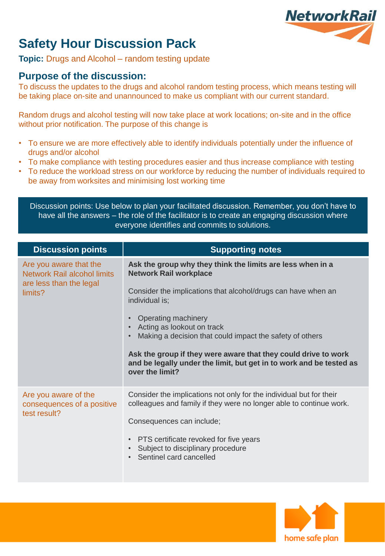

## **Safety Hour Discussion Pack**

**Topic:** Drugs and Alcohol – random testing update

### **Purpose of the discussion:**

To discuss the updates to the drugs and alcohol random testing process, which means testing will be taking place on-site and unannounced to make us compliant with our current standard.

Random drugs and alcohol testing will now take place at work locations; on-site and in the office without prior notification. The purpose of this change is

- To ensure we are more effectively able to identify individuals potentially under the influence of drugs and/or alcohol
- To make compliance with testing procedures easier and thus increase compliance with testing
- To reduce the workload stress on our workforce by reducing the number of individuals required to be away from worksites and minimising lost working time

Discussion points: Use below to plan your facilitated discussion. Remember, you don't have to have all the answers – the role of the facilitator is to create an engaging discussion where everyone identifies and commits to solutions.

| <b>Discussion points</b>                                                                           | <b>Supporting notes</b>                                                                                                                                                                                                                                                                                                                                                                                                                                     |
|----------------------------------------------------------------------------------------------------|-------------------------------------------------------------------------------------------------------------------------------------------------------------------------------------------------------------------------------------------------------------------------------------------------------------------------------------------------------------------------------------------------------------------------------------------------------------|
| Are you aware that the<br><b>Network Rail alcohol limits</b><br>are less than the legal<br>limits? | Ask the group why they think the limits are less when in a<br><b>Network Rail workplace</b><br>Consider the implications that alcohol/drugs can have when an<br>individual is;<br>Operating machinery<br>Acting as lookout on track<br>Making a decision that could impact the safety of others<br>Ask the group if they were aware that they could drive to work<br>and be legally under the limit, but get in to work and be tested as<br>over the limit? |
| Are you aware of the<br>consequences of a positive<br>test result?                                 | Consider the implications not only for the individual but for their<br>colleagues and family if they were no longer able to continue work.<br>Consequences can include;<br>PTS certificate revoked for five years<br>$\bullet$<br>Subject to disciplinary procedure<br>Sentinel card cancelled                                                                                                                                                              |